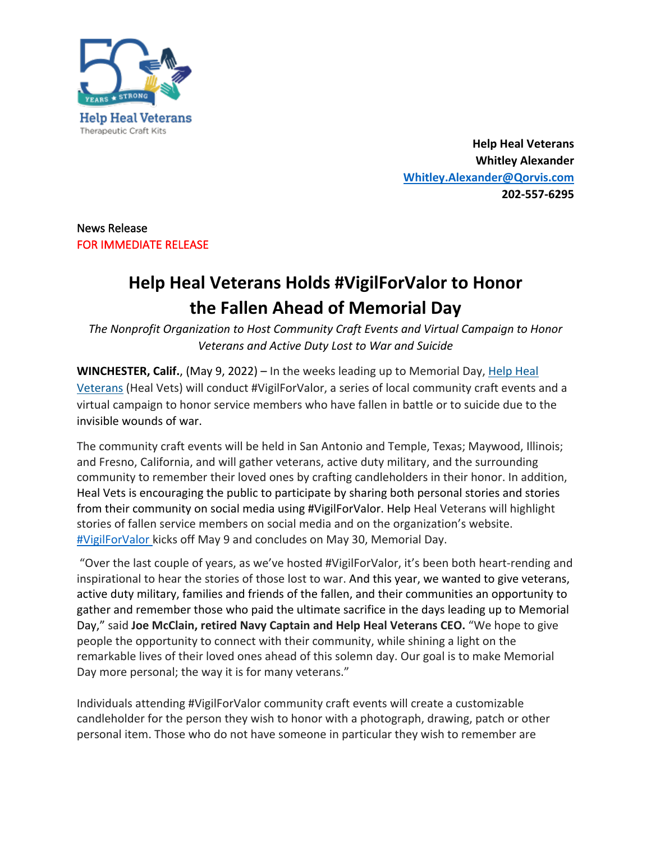

**Help Heal Veterans Whitley Alexander Whitley.Alexander@Qorvis.com 202-557-6295**

## News Release FOR IMMEDIATE RELEASE

## **Help Heal Veterans Holds #VigilForValor to Honor the Fallen Ahead of Memorial Day**

*The Nonprofit Organization to Host Community Craft Events and Virtual Campaign to Honor Veterans and Active Duty Lost to War and Suicide*

**WINCHESTER, Calif.**, (May 9, 2022) – In the weeks leading up to Memorial Day, Help Heal Veterans (Heal Vets) will conduct #VigilForValor, a series of local community craft events and a virtual campaign to honor service members who have fallen in battle or to suicide due to the invisible wounds of war.

The community craft events will be held in San Antonio and Temple, Texas; Maywood, Illinois; and Fresno, California, and will gather veterans, active duty military, and the surrounding community to remember their loved ones by crafting candleholders in their honor. In addition, Heal Vets is encouraging the public to participate by sharing both personal stories and stories from their community on social media using #VigilForValor. Help Heal Veterans will highlight stories of fallen service members on social media and on the organization's website. #VigilForValor kicks off May 9 and concludes on May 30, Memorial Day.

"Over the last couple of years, as we've hosted #VigilForValor, it's been both heart-rending and inspirational to hear the stories of those lost to war. And this year, we wanted to give veterans, active duty military, families and friends of the fallen, and their communities an opportunity to gather and remember those who paid the ultimate sacrifice in the days leading up to Memorial Day," said **Joe McClain, retired Navy Captain and Help Heal Veterans CEO.** "We hope to give people the opportunity to connect with their community, while shining a light on the remarkable lives of their loved ones ahead of this solemn day. Our goal is to make Memorial Day more personal; the way it is for many veterans."

Individuals attending #VigilForValor community craft events will create a customizable candleholder for the person they wish to honor with a photograph, drawing, patch or other personal item. Those who do not have someone in particular they wish to remember are